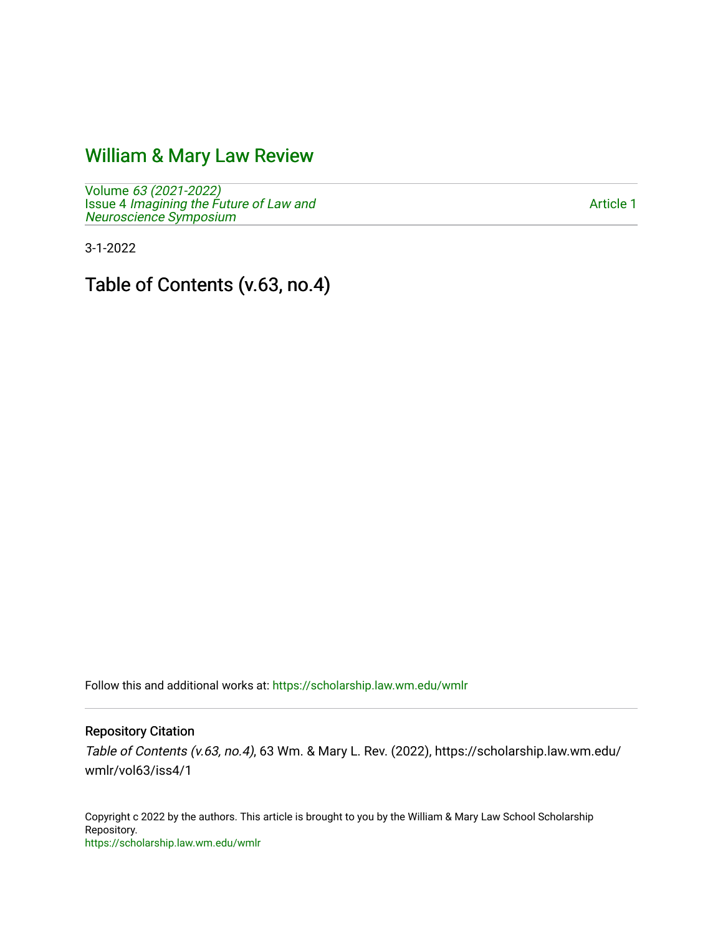## [William & Mary Law Review](https://scholarship.law.wm.edu/wmlr)

Volume [63 \(2021-2022\)](https://scholarship.law.wm.edu/wmlr/vol63)  Issue 4 [Imagining the Future of Law and](https://scholarship.law.wm.edu/wmlr/vol63/iss4)  [Neuroscience Symposium](https://scholarship.law.wm.edu/wmlr/vol63/iss4) 

[Article 1](https://scholarship.law.wm.edu/wmlr/vol63/iss4/1) 

3-1-2022

Table of Contents (v.63, no.4)

Follow this and additional works at: [https://scholarship.law.wm.edu/wmlr](https://scholarship.law.wm.edu/wmlr?utm_source=scholarship.law.wm.edu%2Fwmlr%2Fvol63%2Fiss4%2F1&utm_medium=PDF&utm_campaign=PDFCoverPages)

Repository Citation

Table of Contents (v.63, no.4), 63 Wm. & Mary L. Rev. (2022), https://scholarship.law.wm.edu/ wmlr/vol63/iss4/1

Copyright c 2022 by the authors. This article is brought to you by the William & Mary Law School Scholarship Repository. <https://scholarship.law.wm.edu/wmlr>